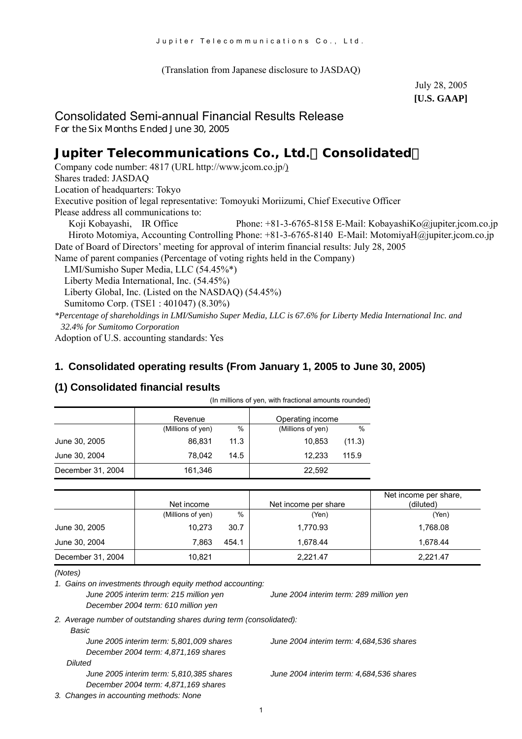(Translation from Japanese disclosure to JASDAQ)

July 28, 2005 **[U.S. GAAP]** 

## Consolidated Semi-annual Financial Results Release

For the Six Months Ended June 30, 2005

# **Jupiter Telecommunications Co., Ltd.**(**Consolidated**)

Company code number: 4817 (URL [http://www.jcom.co.jp/](http://www.jcomxxxxxxxxx.co.jp/)) Shares traded: JASDAQ Location of headquarters: Tokyo Executive position of legal representative: Tomoyuki Moriizumi, Chief Executive Officer Please address all communications to: Koji Kobayashi, IR Office Phone: +81-3-6765-8158 E-Mail: [KobayashiKo@jupiter.jcom.co.jp](mailto:KobayashiKo@jupiter.jcom.co.jp) Hiroto Motomiya, Accounting Controlling Phone: +81-3-6765-8140 E-Mail: MotomiyaH@jupiter.jcom.co.jp Date of Board of Directors' meeting for approval of interim financial results: July 28, 2005 Name of parent companies (Percentage of voting rights held in the Company) LMI/Sumisho Super Media, LLC (54.45%\*) Liberty Media International, Inc. (54.45%) Liberty Global, Inc. (Listed on the NASDAQ) (54.45%) Sumitomo Corp. (TSE1 : 401047) (8.30%) *\*Percentage of shareholdings in LMI/Sumisho Super Media, LLC is 67.6% for Liberty Media International Inc. and*

*32.4% for Sumitomo Corporation*

Adoption of U.S. accounting standards: Yes

#### **1. Consolidated operating results (From January 1, 2005 to June 30, 2005)**

#### **(1) Consolidated financial results**

| (In millions of yen, with fractional amounts rounded) |                   |      |                   |        |  |
|-------------------------------------------------------|-------------------|------|-------------------|--------|--|
|                                                       | Revenue           |      | Operating income  |        |  |
|                                                       | (Millions of yen) | $\%$ | (Millions of yen) | $\%$   |  |
| June 30, 2005                                         | 86.831            | 11.3 | 10.853            | (11.3) |  |
| June 30, 2004                                         | 78.042            | 14.5 | 12.233            | 115.9  |  |
| December 31, 2004                                     | 161,346           |      | 22,592            |        |  |

|                   | Net income        |       | Net income per share | Net income per share,<br>(diluted) |
|-------------------|-------------------|-------|----------------------|------------------------------------|
|                   | (Millions of yen) | %     | (Yen)                | (Yen)                              |
| June 30, 2005     | 10.273            | 30.7  | 1,770.93             | 1,768.08                           |
| June 30, 2004     | 7.863             | 454.1 | 1.678.44             | 1.678.44                           |
| December 31, 2004 | 10.821            |       | 2,221.47             | 2.221.47                           |

*<sup>(</sup>Notes)* 

*1. Gains on investments through equity method accounting:* 

*June 2005 interim term: 215 million yen June 2004 interim term: 289 million yen December 2004 term: 610 million yen* 

*2. Average number of outstanding shares during term (consolidated): Basic* 

| DdSIG                                    |
|------------------------------------------|
| June 2005 interim term: 5,801,009 shares |
| December 2004 term: 4,871,169 shares     |
| Diluted                                  |
| June 2005 interim term: 5,810,385 shares |
| December 2004 term: 4,871,169 shares     |
| 3. Changes in accounting methods: None   |

*June 2005 interim term: 5,801,009 shares June 2004 interim term: 4,684,536 shares*

*June 2005 interim term: 5,810,385 shares June 2004 interim term: 4,684,536 shares*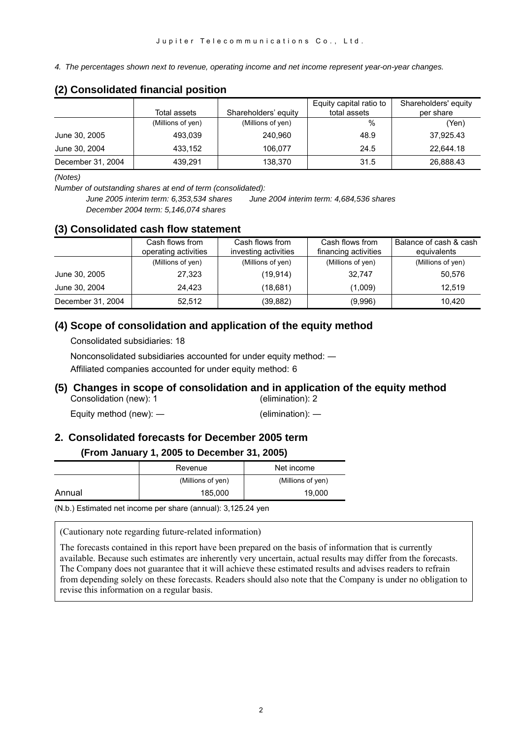*4. The percentages shown next to revenue, operating income and net income represent year-on-year changes.* 

#### Total assets **Shareholders' equity** Equity capital ratio to total assets Shareholders' equity per share (Millions of yen) (Millions of yen) % (Yen) June 30, 2005 493,039 240,960 48.9 37,925.43  $\text{June } 30, 2004$   $\text{433,152}$   $\text{106.077}$   $\text{24.5}$   $\text{22.644.18}$ December 31, 2004 | 439,291 | 138,370 | 31.5 | 26,888.43

#### **(2) Consolidated financial position**

*(Notes)* 

*Number of outstanding shares at end of term (consolidated):* 

*June 2005 interim term: 6,353,534 shares June 2004 interim term: 4,684,536 shares December 2004 term: 5,146,074 shares*

#### **(3) Consolidated cash flow statement**

|                   | Cash flows from<br>operating activities | Cash flows from<br>investing activities | Cash flows from<br>financing activities | Balance of cash & cash<br>equivalents |
|-------------------|-----------------------------------------|-----------------------------------------|-----------------------------------------|---------------------------------------|
|                   | (Millions of yen)                       | (Millions of yen)                       | (Millions of yen)                       | (Millions of yen)                     |
| June 30, 2005     | 27,323                                  | (19.914)                                | 32.747                                  | 50.576                                |
| June 30, 2004     | 24.423                                  | (18.681)                                | (1,009)                                 | 12.519                                |
| December 31, 2004 | 52.512                                  | (39,882)                                | (9,996)                                 | 10.420                                |

#### **(4) Scope of consolidation and application of the equity method**

Consolidated subsidiaries: 18

Nonconsolidated subsidiaries accounted for under equity method: ―

Affiliated companies accounted for under equity method: 6

#### **(5) Changes in scope of consolidation and in application of the equity method**  Consolidation (new): 1 (elimination): 2

Equity method (new): ― (elimination): ―

#### **2. Consolidated forecasts for December 2005 term**

#### **(From January 1, 2005 to December 31, 2005)**

|        | Revenue           | Net income        |
|--------|-------------------|-------------------|
|        | (Millions of yen) | (Millions of yen) |
| Annual | 185,000           | 19.000            |

(N.b.) Estimated net income per share (annual): 3,125.24 yen

(Cautionary note regarding future-related information)

The forecasts contained in this report have been prepared on the basis of information that is currently available. Because such estimates are inherently very uncertain, actual results may differ from the forecasts. The Company does not guarantee that it will achieve these estimated results and advises readers to refrain from depending solely on these forecasts. Readers should also note that the Company is under no obligation to revise this information on a regular basis.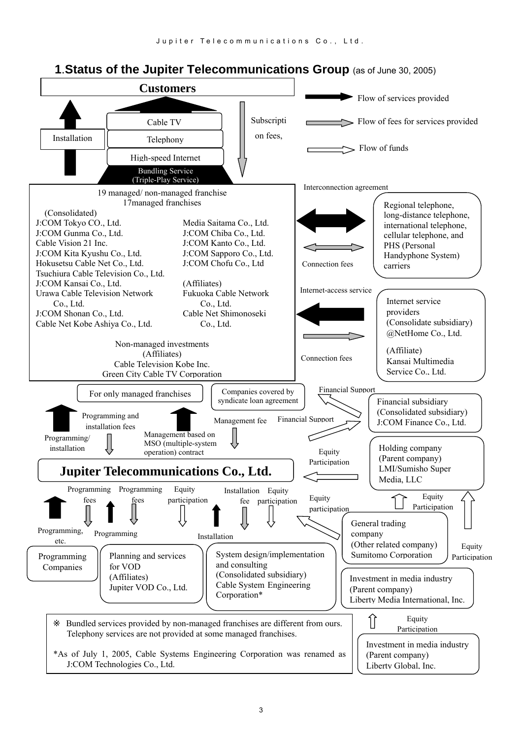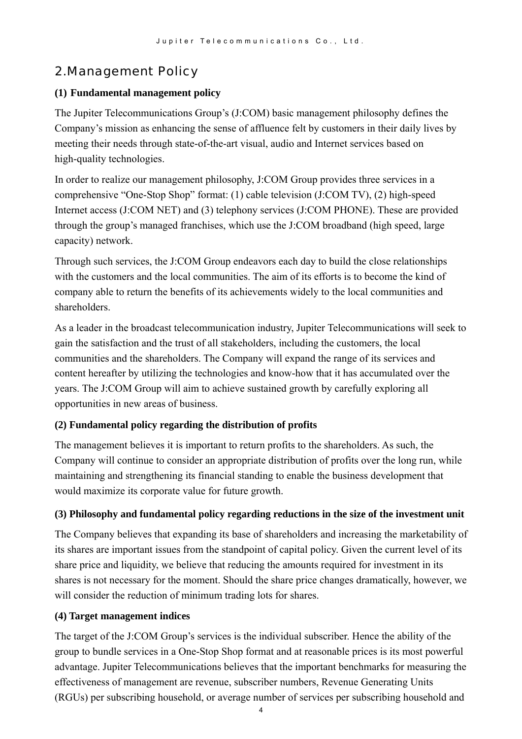# 2.Management Policy

#### **(1) Fundamental management policy**

The Jupiter Telecommunications Group's (J:COM) basic management philosophy defines the Company's mission as enhancing the sense of affluence felt by customers in their daily lives by meeting their needs through state-of-the-art visual, audio and Internet services based on high-quality technologies.

In order to realize our management philosophy, J:COM Group provides three services in a comprehensive "One-Stop Shop" format: (1) cable television (J:COM TV), (2) high-speed Internet access (J:COM NET) and (3) telephony services (J:COM PHONE). These are provided through the group's managed franchises, which use the J:COM broadband (high speed, large capacity) network.

Through such services, the J:COM Group endeavors each day to build the close relationships with the customers and the local communities. The aim of its efforts is to become the kind of company able to return the benefits of its achievements widely to the local communities and shareholders.

As a leader in the broadcast telecommunication industry, Jupiter Telecommunications will seek to gain the satisfaction and the trust of all stakeholders, including the customers, the local communities and the shareholders. The Company will expand the range of its services and content hereafter by utilizing the technologies and know-how that it has accumulated over the years. The J:COM Group will aim to achieve sustained growth by carefully exploring all opportunities in new areas of business.

### **(2) Fundamental policy regarding the distribution of profits**

The management believes it is important to return profits to the shareholders. As such, the Company will continue to consider an appropriate distribution of profits over the long run, while maintaining and strengthening its financial standing to enable the business development that would maximize its corporate value for future growth.

#### **(3) Philosophy and fundamental policy regarding reductions in the size of the investment unit**

The Company believes that expanding its base of shareholders and increasing the marketability of its shares are important issues from the standpoint of capital policy. Given the current level of its share price and liquidity, we believe that reducing the amounts required for investment in its shares is not necessary for the moment. Should the share price changes dramatically, however, we will consider the reduction of minimum trading lots for shares.

#### **(4) Target management indices**

The target of the J:COM Group's services is the individual subscriber. Hence the ability of the group to bundle services in a One-Stop Shop format and at reasonable prices is its most powerful advantage. Jupiter Telecommunications believes that the important benchmarks for measuring the effectiveness of management are revenue, subscriber numbers, Revenue Generating Units (RGUs) per subscribing household, or average number of services per subscribing household and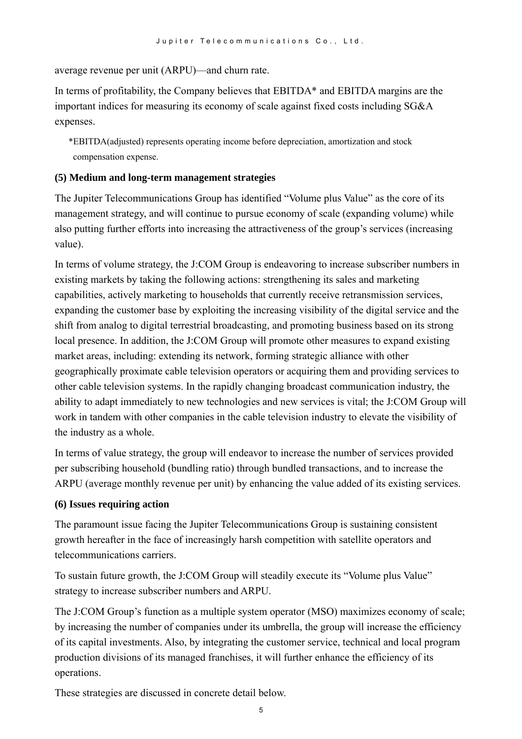average revenue per unit (ARPU)—and churn rate.

In terms of profitability, the Company believes that EBITDA\* and EBITDA margins are the important indices for measuring its economy of scale against fixed costs including SG&A expenses.

\*EBITDA(adjusted) represents operating income before depreciation, amortization and stock compensation expense.

#### **(5) Medium and long-term management strategies**

The Jupiter Telecommunications Group has identified "Volume plus Value" as the core of its management strategy, and will continue to pursue economy of scale (expanding volume) while also putting further efforts into increasing the attractiveness of the group's services (increasing value).

In terms of volume strategy, the J:COM Group is endeavoring to increase subscriber numbers in existing markets by taking the following actions: strengthening its sales and marketing capabilities, actively marketing to households that currently receive retransmission services, expanding the customer base by exploiting the increasing visibility of the digital service and the shift from analog to digital terrestrial broadcasting, and promoting business based on its strong local presence. In addition, the J:COM Group will promote other measures to expand existing market areas, including: extending its network, forming strategic alliance with other geographically proximate cable television operators or acquiring them and providing services to other cable television systems. In the rapidly changing broadcast communication industry, the ability to adapt immediately to new technologies and new services is vital; the J:COM Group will work in tandem with other companies in the cable television industry to elevate the visibility of the industry as a whole.

In terms of value strategy, the group will endeavor to increase the number of services provided per subscribing household (bundling ratio) through bundled transactions, and to increase the ARPU (average monthly revenue per unit) by enhancing the value added of its existing services.

#### **(6) Issues requiring action**

The paramount issue facing the Jupiter Telecommunications Group is sustaining consistent growth hereafter in the face of increasingly harsh competition with satellite operators and telecommunications carriers.

To sustain future growth, the J:COM Group will steadily execute its "Volume plus Value" strategy to increase subscriber numbers and ARPU.

The J:COM Group's function as a multiple system operator (MSO) maximizes economy of scale; by increasing the number of companies under its umbrella, the group will increase the efficiency of its capital investments. Also, by integrating the customer service, technical and local program production divisions of its managed franchises, it will further enhance the efficiency of its operations.

These strategies are discussed in concrete detail below.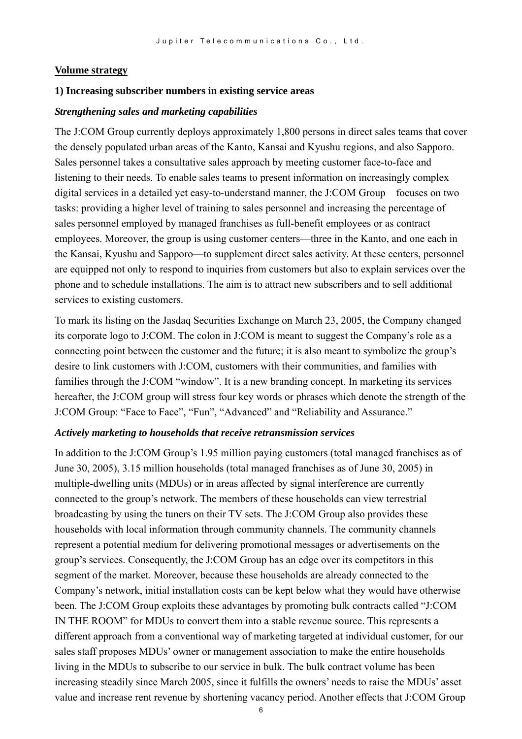#### **Volume strategy**

#### **1) Increasing subscriber numbers in existing service areas**

#### *Strengthening sales and marketing capabilities*

The J:COM Group currently deploys approximately 1,800 persons in direct sales teams that cover the densely populated urban areas of the Kanto, Kansai and Kyushu regions, and also Sapporo. Sales personnel takes a consultative sales approach by meeting customer face-to-face and listening to their needs. To enable sales teams to present information on increasingly complex digital services in a detailed yet easy-to-understand manner, the J:COM Group focuses on two tasks: providing a higher level of training to sales personnel and increasing the percentage of sales personnel employed by managed franchises as full-benefit employees or as contract employees. Moreover, the group is using customer centers—three in the Kanto, and one each in the Kansai, Kyushu and Sapporo—to supplement direct sales activity. At these centers, personnel are equipped not only to respond to inquiries from customers but also to explain services over the phone and to schedule installations. The aim is to attract new subscribers and to sell additional services to existing customers.

To mark its listing on the Jasdaq Securities Exchange on March 23, 2005, the Company changed its corporate logo to J:COM. The colon in J:COM is meant to suggest the Company's role as a connecting point between the customer and the future; it is also meant to symbolize the group's desire to link customers with J:COM, customers with their communities, and families with families through the J:COM "window". It is a new branding concept. In marketing its services hereafter, the J:COM group will stress four key words or phrases which denote the strength of the J:COM Group: "Face to Face", "Fun", "Advanced" and "Reliability and Assurance."

#### *Actively marketing to households that receive retransmission services*

In addition to the J:COM Group's 1.95 million paying customers (total managed franchises as of June 30, 2005), 3.15 million households (total managed franchises as of June 30, 2005) in multiple-dwelling units (MDUs) or in areas affected by signal interference are currently connected to the group's network. The members of these households can view terrestrial broadcasting by using the tuners on their TV sets. The J:COM Group also provides these households with local information through community channels. The community channels represent a potential medium for delivering promotional messages or advertisements on the group's services. Consequently, the J:COM Group has an edge over its competitors in this segment of the market. Moreover, because these households are already connected to the Company's network, initial installation costs can be kept below what they would have otherwise been. The J:COM Group exploits these advantages by promoting bulk contracts called "J:COM IN THE ROOM" for MDUs to convert them into a stable revenue source. This represents a different approach from a conventional way of marketing targeted at individual customer, for our sales staff proposes MDUs' owner or management association to make the entire households living in the MDUs to subscribe to our service in bulk. The bulk contract volume has been increasing steadily since March 2005, since it fulfills the owners' needs to raise the MDUs' asset value and increase rent revenue by shortening vacancy period. Another effects that J:COM Group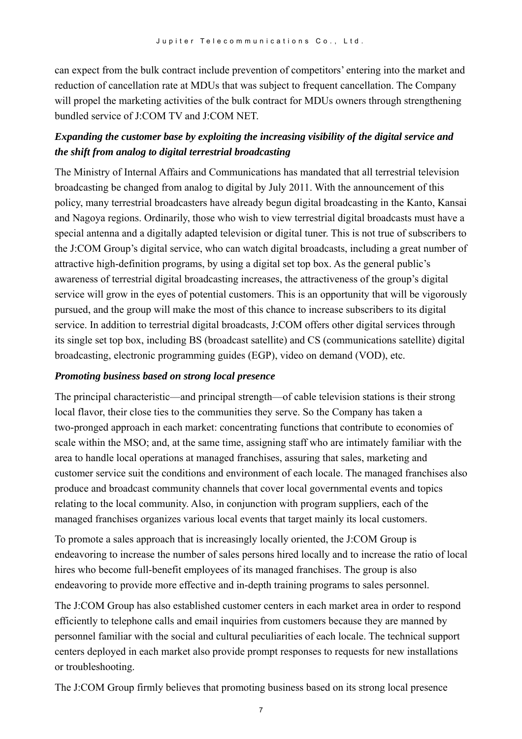can expect from the bulk contract include prevention of competitors' entering into the market and reduction of cancellation rate at MDUs that was subject to frequent cancellation. The Company will propel the marketing activities of the bulk contract for MDUs owners through strengthening bundled service of J:COM TV and J:COM NET.

## *Expanding the customer base by exploiting the increasing visibility of the digital service and the shift from analog to digital terrestrial broadcasting*

The Ministry of Internal Affairs and Communications has mandated that all terrestrial television broadcasting be changed from analog to digital by July 2011. With the announcement of this policy, many terrestrial broadcasters have already begun digital broadcasting in the Kanto, Kansai and Nagoya regions. Ordinarily, those who wish to view terrestrial digital broadcasts must have a special antenna and a digitally adapted television or digital tuner. This is not true of subscribers to the J:COM Group's digital service, who can watch digital broadcasts, including a great number of attractive high-definition programs, by using a digital set top box. As the general public's awareness of terrestrial digital broadcasting increases, the attractiveness of the group's digital service will grow in the eyes of potential customers. This is an opportunity that will be vigorously pursued, and the group will make the most of this chance to increase subscribers to its digital service. In addition to terrestrial digital broadcasts, J:COM offers other digital services through its single set top box, including BS (broadcast satellite) and CS (communications satellite) digital broadcasting, electronic programming guides (EGP), video on demand (VOD), etc.

#### *Promoting business based on strong local presence*

The principal characteristic—and principal strength—of cable television stations is their strong local flavor, their close ties to the communities they serve. So the Company has taken a two-pronged approach in each market: concentrating functions that contribute to economies of scale within the MSO; and, at the same time, assigning staff who are intimately familiar with the area to handle local operations at managed franchises, assuring that sales, marketing and customer service suit the conditions and environment of each locale. The managed franchises also produce and broadcast community channels that cover local governmental events and topics relating to the local community. Also, in conjunction with program suppliers, each of the managed franchises organizes various local events that target mainly its local customers.

To promote a sales approach that is increasingly locally oriented, the J:COM Group is endeavoring to increase the number of sales persons hired locally and to increase the ratio of local hires who become full-benefit employees of its managed franchises. The group is also endeavoring to provide more effective and in-depth training programs to sales personnel.

The J:COM Group has also established customer centers in each market area in order to respond efficiently to telephone calls and email inquiries from customers because they are manned by personnel familiar with the social and cultural peculiarities of each locale. The technical support centers deployed in each market also provide prompt responses to requests for new installations or troubleshooting.

The J:COM Group firmly believes that promoting business based on its strong local presence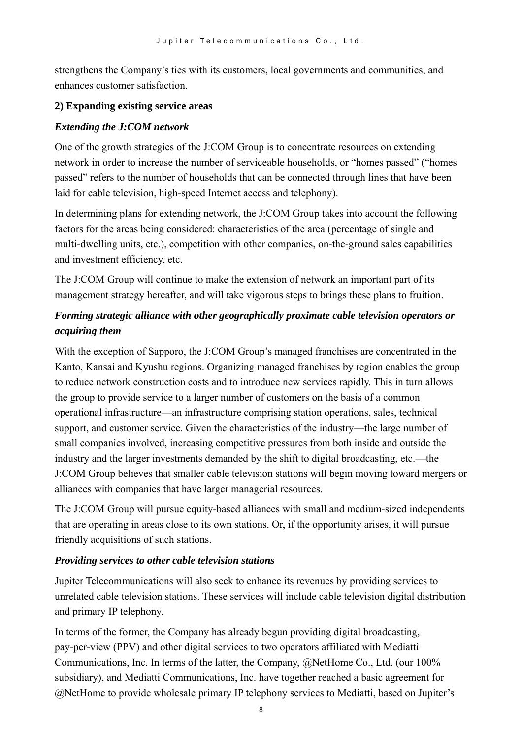strengthens the Company's ties with its customers, local governments and communities, and enhances customer satisfaction.

#### **2) Expanding existing service areas**

#### *Extending the J:COM network*

One of the growth strategies of the J:COM Group is to concentrate resources on extending network in order to increase the number of serviceable households, or "homes passed" ("homes passed" refers to the number of households that can be connected through lines that have been laid for cable television, high-speed Internet access and telephony).

In determining plans for extending network, the J:COM Group takes into account the following factors for the areas being considered: characteristics of the area (percentage of single and multi-dwelling units, etc.), competition with other companies, on-the-ground sales capabilities and investment efficiency, etc.

The J:COM Group will continue to make the extension of network an important part of its management strategy hereafter, and will take vigorous steps to brings these plans to fruition.

## *Forming strategic alliance with other geographically proximate cable television operators or acquiring them*

With the exception of Sapporo, the J:COM Group's managed franchises are concentrated in the Kanto, Kansai and Kyushu regions. Organizing managed franchises by region enables the group to reduce network construction costs and to introduce new services rapidly. This in turn allows the group to provide service to a larger number of customers on the basis of a common operational infrastructure—an infrastructure comprising station operations, sales, technical support, and customer service. Given the characteristics of the industry—the large number of small companies involved, increasing competitive pressures from both inside and outside the industry and the larger investments demanded by the shift to digital broadcasting, etc.—the J:COM Group believes that smaller cable television stations will begin moving toward mergers or alliances with companies that have larger managerial resources.

The J:COM Group will pursue equity-based alliances with small and medium-sized independents that are operating in areas close to its own stations. Or, if the opportunity arises, it will pursue friendly acquisitions of such stations.

#### *Providing services to other cable television stations*

Jupiter Telecommunications will also seek to enhance its revenues by providing services to unrelated cable television stations. These services will include cable television digital distribution and primary IP telephony.

In terms of the former, the Company has already begun providing digital broadcasting, pay-per-view (PPV) and other digital services to two operators affiliated with Mediatti Communications, Inc. In terms of the latter, the Company, @NetHome Co., Ltd. (our 100% subsidiary), and Mediatti Communications, Inc. have together reached a basic agreement for @NetHome to provide wholesale primary IP telephony services to Mediatti, based on Jupiter's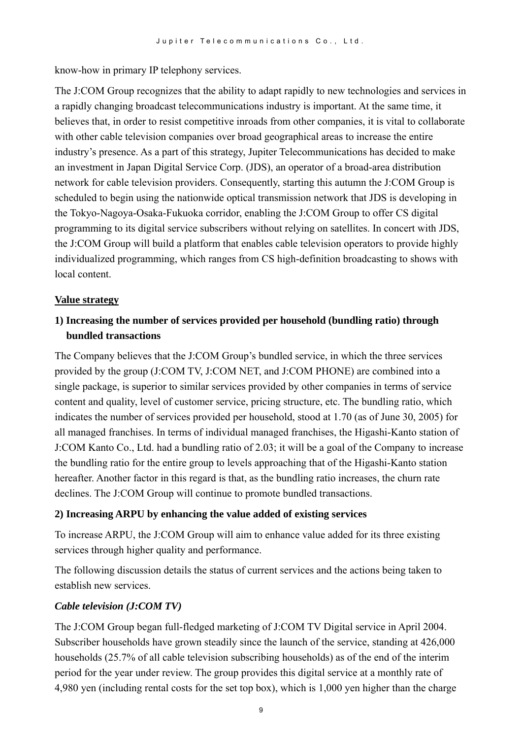know-how in primary IP telephony services.

The J:COM Group recognizes that the ability to adapt rapidly to new technologies and services in a rapidly changing broadcast telecommunications industry is important. At the same time, it believes that, in order to resist competitive inroads from other companies, it is vital to collaborate with other cable television companies over broad geographical areas to increase the entire industry's presence. As a part of this strategy, Jupiter Telecommunications has decided to make an investment in Japan Digital Service Corp. (JDS), an operator of a broad-area distribution network for cable television providers. Consequently, starting this autumn the J:COM Group is scheduled to begin using the nationwide optical transmission network that JDS is developing in the Tokyo-Nagoya-Osaka-Fukuoka corridor, enabling the J:COM Group to offer CS digital programming to its digital service subscribers without relying on satellites. In concert with JDS, the J:COM Group will build a platform that enables cable television operators to provide highly individualized programming, which ranges from CS high-definition broadcasting to shows with local content.

#### **Value strategy**

## **1) Increasing the number of services provided per household (bundling ratio) through bundled transactions**

The Company believes that the J:COM Group's bundled service, in which the three services provided by the group (J:COM TV, J:COM NET, and J:COM PHONE) are combined into a single package, is superior to similar services provided by other companies in terms of service content and quality, level of customer service, pricing structure, etc. The bundling ratio, which indicates the number of services provided per household, stood at 1.70 (as of June 30, 2005) for all managed franchises. In terms of individual managed franchises, the Higashi-Kanto station of J:COM Kanto Co., Ltd. had a bundling ratio of 2.03; it will be a goal of the Company to increase the bundling ratio for the entire group to levels approaching that of the Higashi-Kanto station hereafter. Another factor in this regard is that, as the bundling ratio increases, the churn rate declines. The J:COM Group will continue to promote bundled transactions.

#### **2) Increasing ARPU by enhancing the value added of existing services**

To increase ARPU, the J:COM Group will aim to enhance value added for its three existing services through higher quality and performance.

The following discussion details the status of current services and the actions being taken to establish new services.

### *Cable television (J:COM TV)*

The J:COM Group began full-fledged marketing of J:COM TV Digital service in April 2004. Subscriber households have grown steadily since the launch of the service, standing at 426,000 households (25.7% of all cable television subscribing households) as of the end of the interim period for the year under review. The group provides this digital service at a monthly rate of 4,980 yen (including rental costs for the set top box), which is 1,000 yen higher than the charge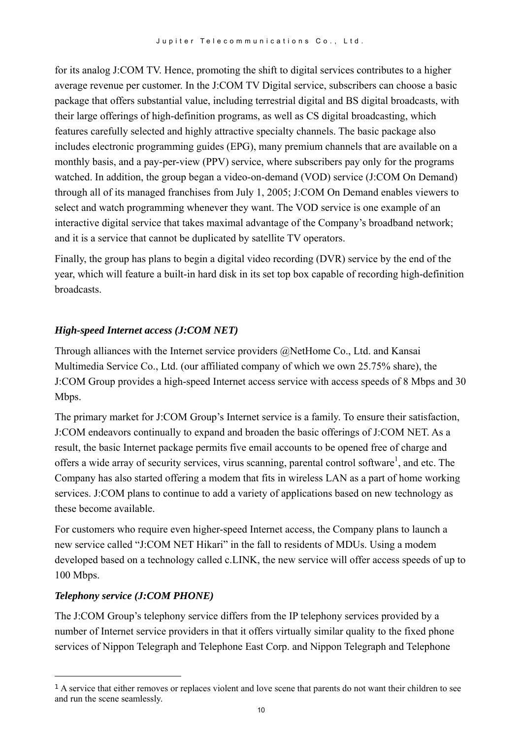for its analog J:COM TV. Hence, promoting the shift to digital services contributes to a higher average revenue per customer. In the J:COM TV Digital service, subscribers can choose a basic package that offers substantial value, including terrestrial digital and BS digital broadcasts, with their large offerings of high-definition programs, as well as CS digital broadcasting, which features carefully selected and highly attractive specialty channels. The basic package also includes electronic programming guides (EPG), many premium channels that are available on a monthly basis, and a pay-per-view (PPV) service, where subscribers pay only for the programs watched. In addition, the group began a video-on-demand (VOD) service (J:COM On Demand) through all of its managed franchises from July 1, 2005; J:COM On Demand enables viewers to select and watch programming whenever they want. The VOD service is one example of an interactive digital service that takes maximal advantage of the Company's broadband network; and it is a service that cannot be duplicated by satellite TV operators.

Finally, the group has plans to begin a digital video recording (DVR) service by the end of the year, which will feature a built-in hard disk in its set top box capable of recording high-definition broadcasts.

### *High-speed Internet access (J:COM NET)*

Through alliances with the Internet service providers @NetHome Co., Ltd. and Kansai Multimedia Service Co., Ltd. (our affiliated company of which we own 25.75% share), the J:COM Group provides a high-speed Internet access service with access speeds of 8 Mbps and 30 Mbps.

The primary market for J:COM Group's Internet service is a family. To ensure their satisfaction, J:COM endeavors continually to expand and broaden the basic offerings of J:COM NET. As a result, the basic Internet package permits five email accounts to be opened free of charge and offers a wide array of security services, virus scanning, parental control software<sup>[1](#page-9-0)</sup>, and etc. The Company has also started offering a modem that fits in wireless LAN as a part of home working services. J:COM plans to continue to add a variety of applications based on new technology as these become available.

For customers who require even higher-speed Internet access, the Company plans to launch a new service called "J:COM NET Hikari" in the fall to residents of MDUs. Using a modem developed based on a technology called c.LINK, the new service will offer access speeds of up to 100 Mbps.

### *Telephony service (J:COM PHONE)*

 $\overline{a}$ 

The J:COM Group's telephony service differs from the IP telephony services provided by a number of Internet service providers in that it offers virtually similar quality to the fixed phone services of Nippon Telegraph and Telephone East Corp. and Nippon Telegraph and Telephone

<span id="page-9-0"></span><sup>1</sup> A service that either removes or replaces violent and love scene that parents do not want their children to see and run the scene seamlessly.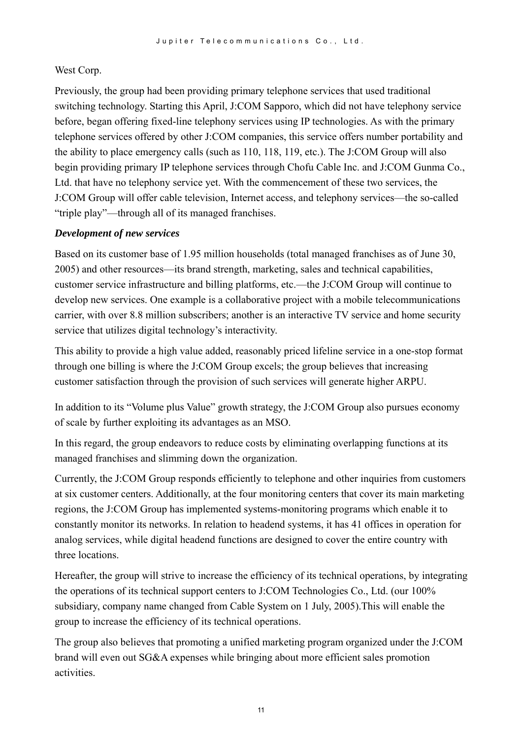#### West Corp.

Previously, the group had been providing primary telephone services that used traditional switching technology. Starting this April, J:COM Sapporo, which did not have telephony service before, began offering fixed-line telephony services using IP technologies. As with the primary telephone services offered by other J:COM companies, this service offers number portability and the ability to place emergency calls (such as 110, 118, 119, etc.). The J:COM Group will also begin providing primary IP telephone services through Chofu Cable Inc. and J:COM Gunma Co., Ltd. that have no telephony service yet. With the commencement of these two services, the J:COM Group will offer cable television, Internet access, and telephony services—the so-called "triple play"—through all of its managed franchises.

#### *Development of new services*

Based on its customer base of 1.95 million households (total managed franchises as of June 30, 2005) and other resources—its brand strength, marketing, sales and technical capabilities, customer service infrastructure and billing platforms, etc.—the J:COM Group will continue to develop new services. One example is a collaborative project with a mobile telecommunications carrier, with over 8.8 million subscribers; another is an interactive TV service and home security service that utilizes digital technology's interactivity.

This ability to provide a high value added, reasonably priced lifeline service in a one-stop format through one billing is where the J:COM Group excels; the group believes that increasing customer satisfaction through the provision of such services will generate higher ARPU.

In addition to its "Volume plus Value" growth strategy, the J:COM Group also pursues economy of scale by further exploiting its advantages as an MSO.

In this regard, the group endeavors to reduce costs by eliminating overlapping functions at its managed franchises and slimming down the organization.

Currently, the J:COM Group responds efficiently to telephone and other inquiries from customers at six customer centers. Additionally, at the four monitoring centers that cover its main marketing regions, the J:COM Group has implemented systems-monitoring programs which enable it to constantly monitor its networks. In relation to headend systems, it has 41 offices in operation for analog services, while digital headend functions are designed to cover the entire country with three locations.

Hereafter, the group will strive to increase the efficiency of its technical operations, by integrating the operations of its technical support centers to J:COM Technologies Co., Ltd. (our 100% subsidiary, company name changed from Cable System on 1 July, 2005).This will enable the group to increase the efficiency of its technical operations.

The group also believes that promoting a unified marketing program organized under the J:COM brand will even out SG&A expenses while bringing about more efficient sales promotion activities.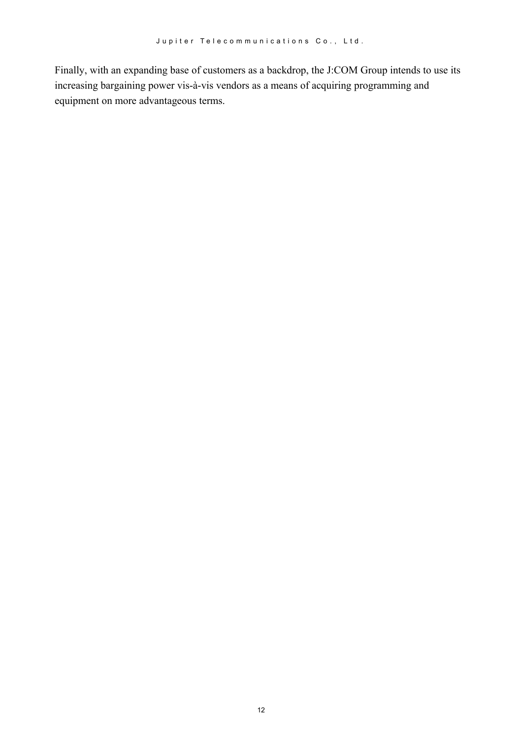Finally, with an expanding base of customers as a backdrop, the J:COM Group intends to use its increasing bargaining power vis-à-vis vendors as a means of acquiring programming and equipment on more advantageous terms.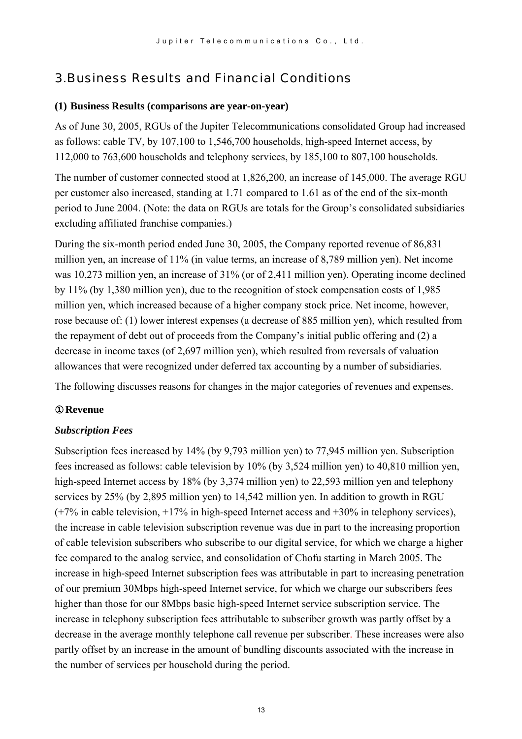# 3.Business Results and Financial Conditions

#### **(1) Business Results (comparisons are year-on-year)**

As of June 30, 2005, RGUs of the Jupiter Telecommunications consolidated Group had increased as follows: cable TV, by 107,100 to 1,546,700 households, high-speed Internet access, by 112,000 to 763,600 households and telephony services, by 185,100 to 807,100 households.

The number of customer connected stood at 1,826,200, an increase of 145,000. The average RGU per customer also increased, standing at 1.71 compared to 1.61 as of the end of the six-month period to June 2004. (Note: the data on RGUs are totals for the Group's consolidated subsidiaries excluding affiliated franchise companies.)

During the six-month period ended June 30, 2005, the Company reported revenue of 86,831 million yen, an increase of 11% (in value terms, an increase of 8,789 million yen). Net income was 10,273 million yen, an increase of 31% (or of 2,411 million yen). Operating income declined by 11% (by 1,380 million yen), due to the recognition of stock compensation costs of 1,985 million yen, which increased because of a higher company stock price. Net income, however, rose because of: (1) lower interest expenses (a decrease of 885 million yen), which resulted from the repayment of debt out of proceeds from the Company's initial public offering and (2) a decrease in income taxes (of 2,697 million yen), which resulted from reversals of valuation allowances that were recognized under deferred tax accounting by a number of subsidiaries.

The following discusses reasons for changes in the major categories of revenues and expenses.

#### ①**Revenue**

#### *Subscription Fees*

Subscription fees increased by 14% (by 9,793 million yen) to 77,945 million yen. Subscription fees increased as follows: cable television by 10% (by 3,524 million yen) to 40,810 million yen, high-speed Internet access by 18% (by 3,374 million yen) to 22,593 million yen and telephony services by 25% (by 2,895 million yen) to 14,542 million yen. In addition to growth in RGU  $(+7\%$  in cable television,  $+17\%$  in high-speed Internet access and  $+30\%$  in telephony services), the increase in cable television subscription revenue was due in part to the increasing proportion of cable television subscribers who subscribe to our digital service, for which we charge a higher fee compared to the analog service, and consolidation of Chofu starting in March 2005. The increase in high-speed Internet subscription fees was attributable in part to increasing penetration of our premium 30Mbps high-speed Internet service, for which we charge our subscribers fees higher than those for our 8Mbps basic high-speed Internet service subscription service. The increase in telephony subscription fees attributable to subscriber growth was partly offset by a decrease in the average monthly telephone call revenue per subscriber. These increases were also partly offset by an increase in the amount of bundling discounts associated with the increase in the number of services per household during the period.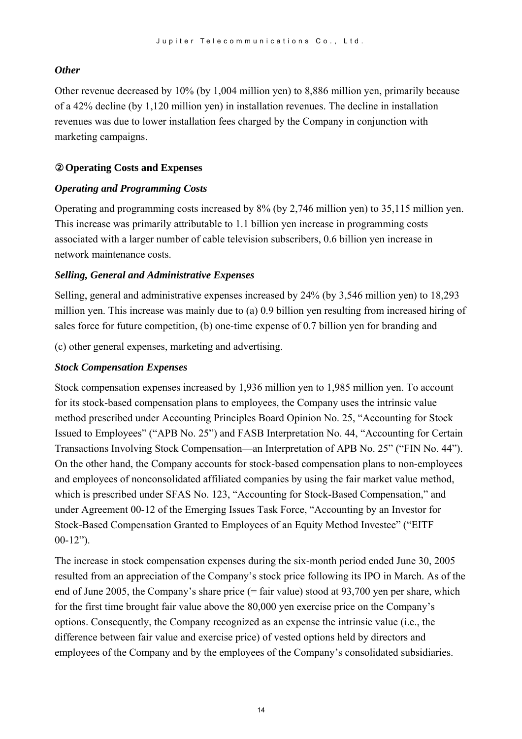#### *Other*

Other revenue decreased by 10% (by 1,004 million yen) to 8,886 million yen, primarily because of a 42% decline (by 1,120 million yen) in installation revenues. The decline in installation revenues was due to lower installation fees charged by the Company in conjunction with marketing campaigns.

#### ②**Operating Costs and Expenses**

#### *Operating and Programming Costs*

Operating and programming costs increased by 8% (by 2,746 million yen) to 35,115 million yen. This increase was primarily attributable to 1.1 billion yen increase in programming costs associated with a larger number of cable television subscribers, 0.6 billion yen increase in network maintenance costs.

#### *Selling, General and Administrative Expenses*

Selling, general and administrative expenses increased by 24% (by 3,546 million yen) to 18,293 million yen. This increase was mainly due to (a) 0.9 billion yen resulting from increased hiring of sales force for future competition, (b) one-time expense of 0.7 billion yen for branding and

(c) other general expenses, marketing and advertising.

#### *Stock Compensation Expenses*

Stock compensation expenses increased by 1,936 million yen to 1,985 million yen. To account for its stock-based compensation plans to employees, the Company uses the intrinsic value method prescribed under Accounting Principles Board Opinion No. 25, "Accounting for Stock Issued to Employees" ("APB No. 25") and FASB Interpretation No. 44, "Accounting for Certain Transactions Involving Stock Compensation—an Interpretation of APB No. 25" ("FIN No. 44"). On the other hand, the Company accounts for stock-based compensation plans to non-employees and employees of nonconsolidated affiliated companies by using the fair market value method, which is prescribed under SFAS No. 123, "Accounting for Stock-Based Compensation," and under Agreement 00-12 of the Emerging Issues Task Force, "Accounting by an Investor for Stock-Based Compensation Granted to Employees of an Equity Method Investee" ("EITF 00-12").

The increase in stock compensation expenses during the six-month period ended June 30, 2005 resulted from an appreciation of the Company's stock price following its IPO in March. As of the end of June 2005, the Company's share price (= fair value) stood at 93,700 yen per share, which for the first time brought fair value above the 80,000 yen exercise price on the Company's options. Consequently, the Company recognized as an expense the intrinsic value (i.e., the difference between fair value and exercise price) of vested options held by directors and employees of the Company and by the employees of the Company's consolidated subsidiaries.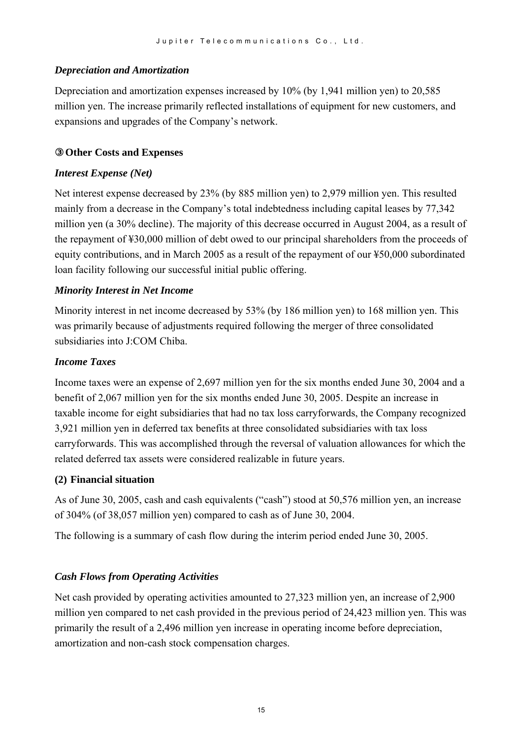#### *Depreciation and Amortization*

Depreciation and amortization expenses increased by 10% (by 1,941 million yen) to 20,585 million yen. The increase primarily reflected installations of equipment for new customers, and expansions and upgrades of the Company's network.

#### ③**Other Costs and Expenses**

#### *Interest Expense (Net)*

Net interest expense decreased by 23% (by 885 million yen) to 2,979 million yen. This resulted mainly from a decrease in the Company's total indebtedness including capital leases by 77,342 million yen (a 30% decline). The majority of this decrease occurred in August 2004, as a result of the repayment of ¥30,000 million of debt owed to our principal shareholders from the proceeds of equity contributions, and in March 2005 as a result of the repayment of our ¥50,000 subordinated loan facility following our successful initial public offering.

#### *Minority Interest in Net Income*

Minority interest in net income decreased by 53% (by 186 million yen) to 168 million yen. This was primarily because of adjustments required following the merger of three consolidated subsidiaries into J:COM Chiba.

#### *Income Taxes*

Income taxes were an expense of 2,697 million yen for the six months ended June 30, 2004 and a benefit of 2,067 million yen for the six months ended June 30, 2005. Despite an increase in taxable income for eight subsidiaries that had no tax loss carryforwards, the Company recognized 3,921 million yen in deferred tax benefits at three consolidated subsidiaries with tax loss carryforwards. This was accomplished through the reversal of valuation allowances for which the related deferred tax assets were considered realizable in future years.

#### **(2) Financial situation**

As of June 30, 2005, cash and cash equivalents ("cash") stood at 50,576 million yen, an increase of 304% (of 38,057 million yen) compared to cash as of June 30, 2004.

The following is a summary of cash flow during the interim period ended June 30, 2005.

#### *Cash Flows from Operating Activities*

Net cash provided by operating activities amounted to 27,323 million yen, an increase of 2,900 million yen compared to net cash provided in the previous period of 24,423 million yen. This was primarily the result of a 2,496 million yen increase in operating income before depreciation, amortization and non-cash stock compensation charges.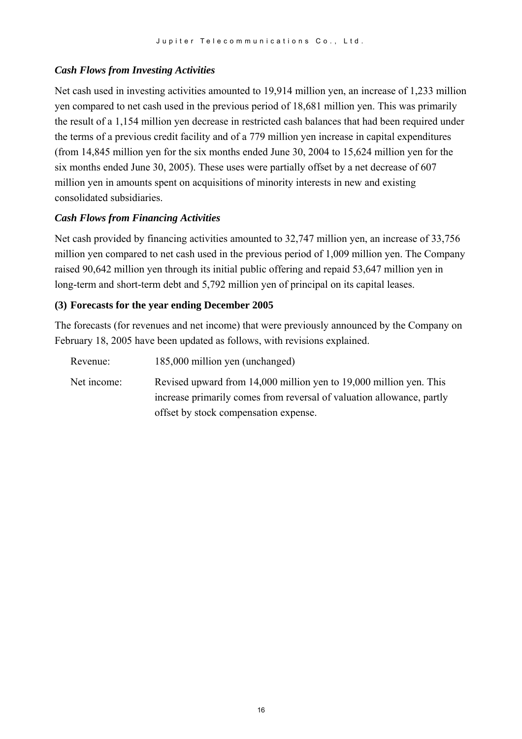#### *Cash Flows from Investing Activities*

Net cash used in investing activities amounted to 19,914 million yen, an increase of 1,233 million yen compared to net cash used in the previous period of 18,681 million yen. This was primarily the result of a 1,154 million yen decrease in restricted cash balances that had been required under the terms of a previous credit facility and of a 779 million yen increase in capital expenditures (from 14,845 million yen for the six months ended June 30, 2004 to 15,624 million yen for the six months ended June 30, 2005). These uses were partially offset by a net decrease of 607 million yen in amounts spent on acquisitions of minority interests in new and existing consolidated subsidiaries.

#### *Cash Flows from Financing Activities*

Net cash provided by financing activities amounted to 32,747 million yen, an increase of 33,756 million yen compared to net cash used in the previous period of 1,009 million yen. The Company raised 90,642 million yen through its initial public offering and repaid 53,647 million yen in long-term and short-term debt and 5,792 million yen of principal on its capital leases.

#### **(3) Forecasts for the year ending December 2005**

The forecasts (for revenues and net income) that were previously announced by the Company on February 18, 2005 have been updated as follows, with revisions explained.

| Revenue:    | 185,000 million yen (unchanged)                                       |
|-------------|-----------------------------------------------------------------------|
| Net income: | Revised upward from 14,000 million yen to 19,000 million yen. This    |
|             | increase primarily comes from reversal of valuation allowance, partly |
|             | offset by stock compensation expense.                                 |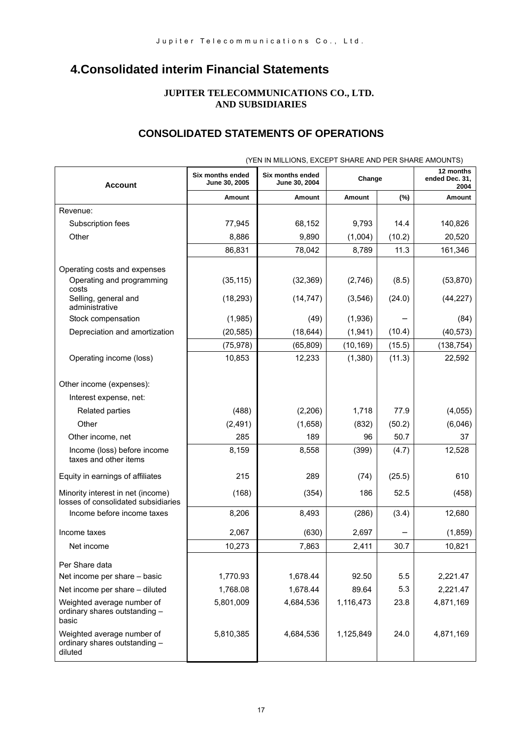# **4.Consolidated interim Financial Statements**

#### **JUPITER TELECOMMUNICATIONS CO., LTD. AND SUBSIDIARIES**

## **CONSOLIDATED STATEMENTS OF OPERATIONS**

| <b>Account</b>                                                           | Six months ended<br>June 30, 2005 | Six months ended<br>June 30, 2004 | Change    |        | 12 months<br>ended Dec. 31,<br>2004 |
|--------------------------------------------------------------------------|-----------------------------------|-----------------------------------|-----------|--------|-------------------------------------|
|                                                                          | <b>Amount</b>                     | <b>Amount</b>                     | Amount    | (%)    | Amount                              |
| Revenue:                                                                 |                                   |                                   |           |        |                                     |
| Subscription fees                                                        | 77,945                            | 68,152                            | 9,793     | 14.4   | 140,826                             |
| Other                                                                    | 8,886                             | 9,890                             | (1,004)   | (10.2) | 20,520                              |
|                                                                          | 86,831                            | 78,042                            | 8,789     | 11.3   | 161,346                             |
| Operating costs and expenses                                             |                                   |                                   |           |        |                                     |
| Operating and programming                                                | (35, 115)                         | (32, 369)                         | (2,746)   | (8.5)  | (53, 870)                           |
| costs<br>Selling, general and<br>administrative                          | (18, 293)                         | (14, 747)                         | (3, 546)  | (24.0) | (44, 227)                           |
| Stock compensation                                                       | (1,985)                           | (49)                              | (1,936)   |        | (84)                                |
| Depreciation and amortization                                            | (20, 585)                         | (18, 644)                         | (1,941)   | (10.4) | (40, 573)                           |
|                                                                          | (75, 978)                         | (65, 809)                         | (10, 169) | (15.5) | (138, 754)                          |
| Operating income (loss)                                                  | 10,853                            | 12,233                            | (1,380)   | (11.3) | 22,592                              |
|                                                                          |                                   |                                   |           |        |                                     |
| Other income (expenses):                                                 |                                   |                                   |           |        |                                     |
| Interest expense, net:                                                   |                                   |                                   |           |        |                                     |
| <b>Related parties</b>                                                   | (488)                             | (2,206)                           | 1,718     | 77.9   | (4,055)                             |
| Other                                                                    | (2, 491)                          | (1,658)                           | (832)     | (50.2) | (6,046)                             |
| Other income, net                                                        | 285                               | 189                               | 96        | 50.7   | 37                                  |
| Income (loss) before income<br>taxes and other items                     | 8,159                             | 8,558                             | (399)     | (4.7)  | 12,528                              |
| Equity in earnings of affiliates                                         | 215                               | 289                               | (74)      | (25.5) | 610                                 |
| Minority interest in net (income)<br>losses of consolidated subsidiaries | (168)                             | (354)                             | 186       | 52.5   | (458)                               |
| Income before income taxes                                               | 8,206                             | 8,493                             | (286)     | (3.4)  | 12,680                              |
| Income taxes                                                             | 2,067                             | (630)                             | 2,697     |        | (1,859)                             |
| Net income                                                               | 10,273                            | 7,863                             | 2,411     | 30.7   | 10,821                              |
| Per Share data                                                           |                                   |                                   |           |        |                                     |
| Net income per share - basic                                             | 1,770.93                          | 1,678.44                          | 92.50     | 5.5    | 2,221.47                            |
| Net income per share - diluted                                           | 1,768.08                          | 1,678.44                          | 89.64     | 5.3    | 2,221.47                            |
| Weighted average number of<br>ordinary shares outstanding -<br>basic     | 5,801,009                         | 4,684,536                         | 1,116,473 | 23.8   | 4,871,169                           |
| Weighted average number of<br>ordinary shares outstanding -<br>diluted   | 5,810,385                         | 4,684,536                         | 1,125,849 | 24.0   | 4,871,169                           |

(YEN IN MILLIONS, EXCEPT SHARE AND PER SHARE AMOUNTS)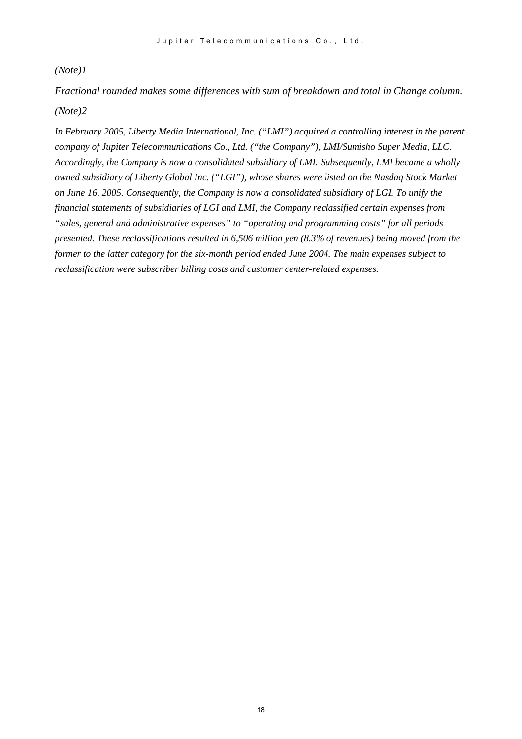#### *(Note)1*

*Fractional rounded makes some differences with sum of breakdown and total in Change column. (Note)2* 

*In February 2005, Liberty Media International, Inc. ("LMI") acquired a controlling interest in the parent company of Jupiter Telecommunications Co., Ltd. ("the Company"), LMI/Sumisho Super Media, LLC. Accordingly, the Company is now a consolidated subsidiary of LMI. Subsequently, LMI became a wholly owned subsidiary of Liberty Global Inc. ("LGI"), whose shares were listed on the Nasdaq Stock Market on June 16, 2005. Consequently, the Company is now a consolidated subsidiary of LGI. To unify the financial statements of subsidiaries of LGI and LMI, the Company reclassified certain expenses from "sales, general and administrative expenses" to "operating and programming costs" for all periods presented. These reclassifications resulted in 6,506 million yen (8.3% of revenues) being moved from the former to the latter category for the six-month period ended June 2004. The main expenses subject to reclassification were subscriber billing costs and customer center-related expenses.*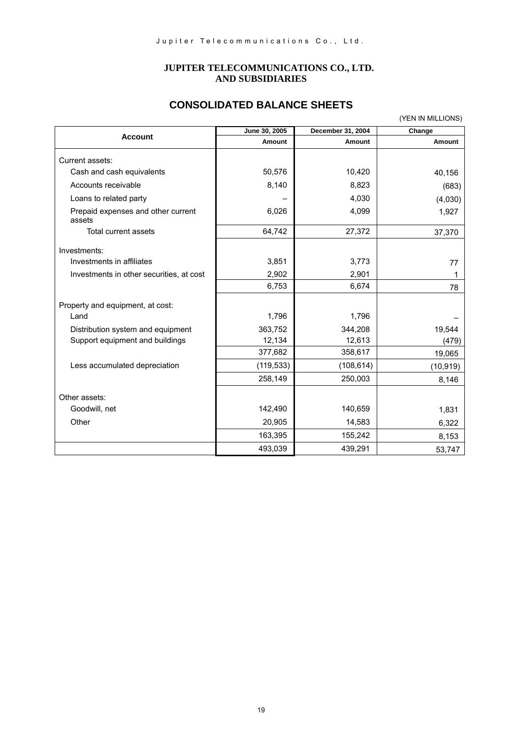#### **JUPITER TELECOMMUNICATIONS CO., LTD. AND SUBSIDIARIES**

## **CONSOLIDATED BALANCE SHEETS**

|                                              |               |                   | (YEN IN MILLIONS) |
|----------------------------------------------|---------------|-------------------|-------------------|
|                                              | June 30, 2005 | December 31, 2004 | Change            |
| <b>Account</b>                               | Amount        | Amount            | <b>Amount</b>     |
| Current assets:                              |               |                   |                   |
| Cash and cash equivalents                    | 50,576        | 10,420            | 40,156            |
| Accounts receivable                          | 8,140         | 8,823             | (683)             |
| Loans to related party                       |               | 4,030             | (4,030)           |
| Prepaid expenses and other current<br>assets | 6,026         | 4,099             | 1,927             |
| Total current assets                         | 64,742        | 27,372            | 37,370            |
| Investments:                                 |               |                   |                   |
| Investments in affiliates                    | 3,851         | 3,773             | 77                |
| Investments in other securities, at cost     | 2,902         | 2,901             | 1                 |
|                                              | 6,753         | 6,674             | 78                |
| Property and equipment, at cost:             |               |                   |                   |
| Land                                         | 1,796         | 1,796             |                   |
| Distribution system and equipment            | 363,752       | 344,208           | 19,544            |
| Support equipment and buildings              | 12,134        | 12,613            | (479)             |
|                                              | 377,682       | 358,617           | 19,065            |
| Less accumulated depreciation                | (119, 533)    | (108, 614)        | (10, 919)         |
|                                              | 258,149       | 250,003           | 8,146             |
| Other assets:                                |               |                   |                   |
| Goodwill, net                                | 142,490       | 140,659           | 1,831             |
| Other                                        | 20,905        | 14,583            | 6,322             |
|                                              | 163,395       | 155,242           | 8,153             |
|                                              | 493,039       | 439,291           | 53,747            |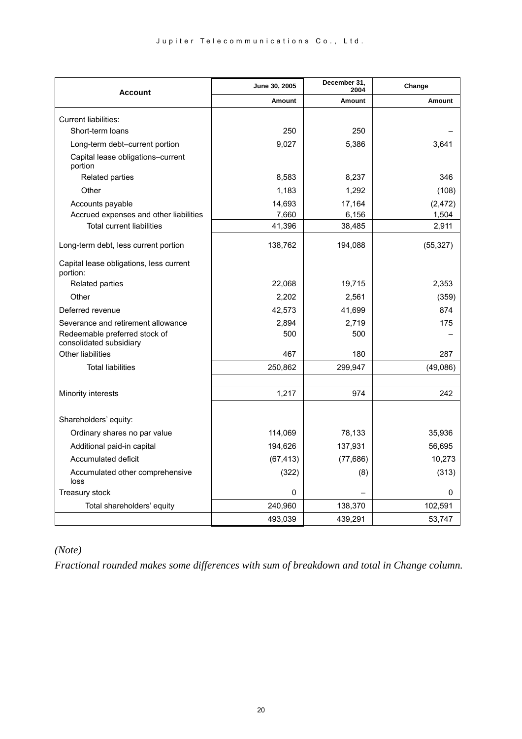| <b>Account</b>                                           | June 30, 2005 | December 31,<br>2004 | Change    |
|----------------------------------------------------------|---------------|----------------------|-----------|
|                                                          | Amount        | <b>Amount</b>        | Amount    |
| Current liabilities:                                     |               |                      |           |
| Short-term loans                                         | 250           | 250                  |           |
| Long-term debt-current portion                           | 9,027         | 5,386                | 3,641     |
| Capital lease obligations-current<br>portion             |               |                      |           |
| Related parties                                          | 8,583         | 8,237                | 346       |
| Other                                                    | 1,183         | 1,292                | (108)     |
| Accounts payable                                         | 14,693        | 17,164               | (2, 472)  |
| Accrued expenses and other liabilities                   | 7,660         | 6,156                | 1,504     |
| <b>Total current liabilities</b>                         | 41,396        | 38,485               | 2,911     |
| Long-term debt, less current portion                     | 138,762       | 194,088              | (55, 327) |
| Capital lease obligations, less current<br>portion:      |               |                      |           |
| Related parties                                          | 22,068        | 19,715               | 2,353     |
| Other                                                    | 2,202         | 2,561                | (359)     |
| Deferred revenue                                         | 42,573        | 41,699               | 874       |
| Severance and retirement allowance                       | 2,894         | 2,719                | 175       |
| Redeemable preferred stock of<br>consolidated subsidiary | 500           | 500                  |           |
| Other liabilities                                        | 467           | 180                  | 287       |
| <b>Total liabilities</b>                                 | 250,862       | 299,947              | (49,086)  |
|                                                          |               |                      |           |
| Minority interests                                       | 1,217         | 974                  | 242       |
|                                                          |               |                      |           |
| Shareholders' equity:                                    |               |                      |           |
| Ordinary shares no par value                             | 114,069       | 78,133               | 35,936    |
| Additional paid-in capital                               | 194,626       | 137,931              | 56,695    |
| Accumulated deficit                                      | (67, 413)     | (77, 686)            | 10,273    |
| Accumulated other comprehensive<br>loss                  | (322)         | (8)                  | (313)     |
| Treasury stock                                           | 0             |                      | 0         |
| Total shareholders' equity                               | 240,960       | 138,370              | 102,591   |
|                                                          | 493,039       | 439,291              | 53,747    |

## *(Note)*

*Fractional rounded makes some differences with sum of breakdown and total in Change column.*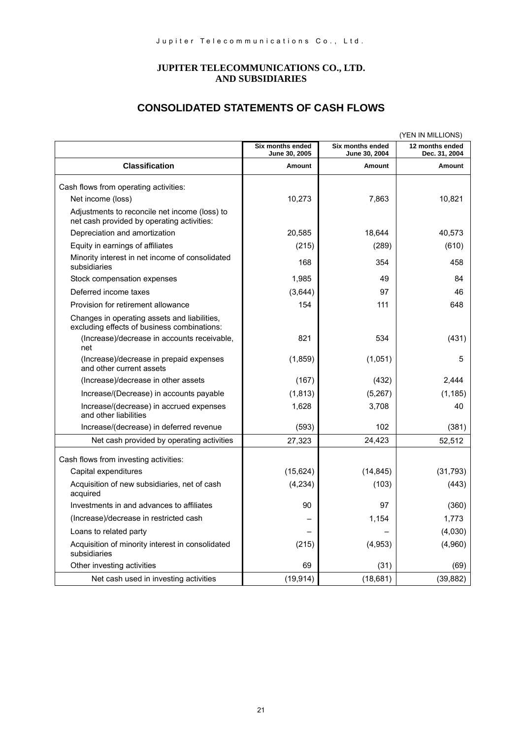#### **JUPITER TELECOMMUNICATIONS CO., LTD. AND SUBSIDIARIES**

## **CONSOLIDATED STATEMENTS OF CASH FLOWS**

|                                                                                             |                                   |                                   | (YEN IN MILLIONS)                |
|---------------------------------------------------------------------------------------------|-----------------------------------|-----------------------------------|----------------------------------|
|                                                                                             | Six months ended<br>June 30, 2005 | Six months ended<br>June 30, 2004 | 12 months ended<br>Dec. 31, 2004 |
| <b>Classification</b>                                                                       | Amount                            | Amount                            | Amount                           |
| Cash flows from operating activities:                                                       |                                   |                                   |                                  |
| Net income (loss)                                                                           | 10,273                            | 7,863                             | 10,821                           |
| Adjustments to reconcile net income (loss) to<br>net cash provided by operating activities: |                                   |                                   |                                  |
| Depreciation and amortization                                                               | 20,585                            | 18,644                            | 40,573                           |
| Equity in earnings of affiliates                                                            | (215)                             | (289)                             | (610)                            |
| Minority interest in net income of consolidated<br>subsidiaries                             | 168                               | 354                               | 458                              |
| Stock compensation expenses                                                                 | 1,985                             | 49                                | 84                               |
| Deferred income taxes                                                                       | (3,644)                           | 97                                | 46                               |
| Provision for retirement allowance                                                          | 154                               | 111                               | 648                              |
| Changes in operating assets and liabilities,<br>excluding effects of business combinations: |                                   |                                   |                                  |
| (Increase)/decrease in accounts receivable,<br>net                                          | 821                               | 534                               | (431)                            |
| (Increase)/decrease in prepaid expenses<br>and other current assets                         | (1,859)                           | (1,051)                           | 5                                |
| (Increase)/decrease in other assets                                                         | (167)                             | (432)                             | 2.444                            |
| Increase/(Decrease) in accounts payable                                                     | (1, 813)                          | (5,267)                           | (1, 185)                         |
| Increase/(decrease) in accrued expenses<br>and other liabilities                            | 1,628                             | 3,708                             | 40                               |
| Increase/(decrease) in deferred revenue                                                     | (593)                             | 102                               | (381)                            |
| Net cash provided by operating activities                                                   | 27,323                            | 24,423                            | 52,512                           |
| Cash flows from investing activities:                                                       |                                   |                                   |                                  |
| Capital expenditures                                                                        | (15, 624)                         | (14, 845)                         | (31, 793)                        |
| Acquisition of new subsidiaries, net of cash<br>acquired                                    | (4, 234)                          | (103)                             | (443)                            |
| Investments in and advances to affiliates                                                   | 90                                | 97                                | (360)                            |
| (Increase)/decrease in restricted cash                                                      |                                   | 1,154                             | 1,773                            |
| Loans to related party                                                                      |                                   |                                   | (4,030)                          |
| Acquisition of minority interest in consolidated<br>subsidiaries                            | (215)                             | (4,953)                           | (4,960)                          |
| Other investing activities                                                                  | 69                                | (31)                              | (69)                             |
| Net cash used in investing activities                                                       | (19, 914)                         | (18,681)                          | (39, 882)                        |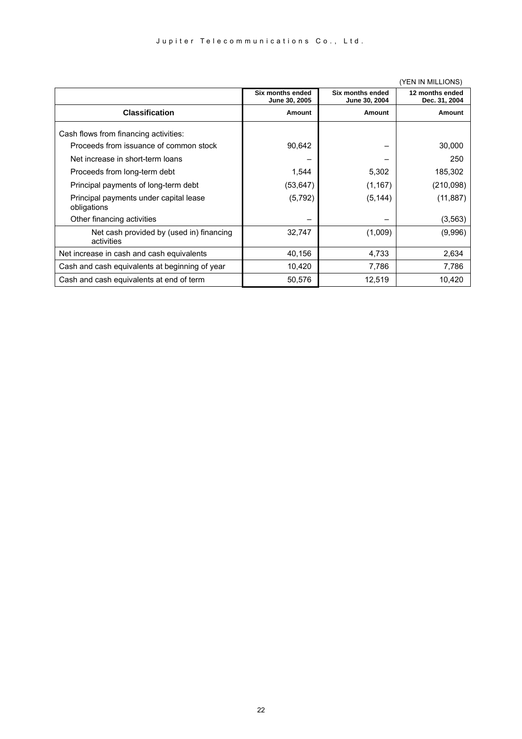|                                                        |                                   |                                   | <b>TEIN IIN IVIILLIUINOT</b>     |
|--------------------------------------------------------|-----------------------------------|-----------------------------------|----------------------------------|
|                                                        | Six months ended<br>June 30, 2005 | Six months ended<br>June 30, 2004 | 12 months ended<br>Dec. 31, 2004 |
| <b>Classification</b>                                  | Amount                            | Amount                            | <b>Amount</b>                    |
| Cash flows from financing activities:                  |                                   |                                   |                                  |
| Proceeds from issuance of common stock                 | 90,642                            |                                   | 30,000                           |
| Net increase in short-term loans                       |                                   |                                   | 250                              |
| Proceeds from long-term debt                           | 1,544                             | 5,302                             | 185,302                          |
| Principal payments of long-term debt                   | (53, 647)                         | (1, 167)                          | (210,098)                        |
| Principal payments under capital lease<br>obligations  | (5, 792)                          | (5, 144)                          | (11, 887)                        |
| Other financing activities                             |                                   |                                   | (3, 563)                         |
| Net cash provided by (used in) financing<br>activities | 32,747                            | (1,009)                           | (9,996)                          |
| Net increase in cash and cash equivalents              | 40,156                            | 4,733                             | 2,634                            |
| Cash and cash equivalents at beginning of year         | 10,420                            | 7,786                             | 7,786                            |
| Cash and cash equivalents at end of term               | 50,576                            | 12,519                            | 10,420                           |

#### (YEN IN MILLIONS)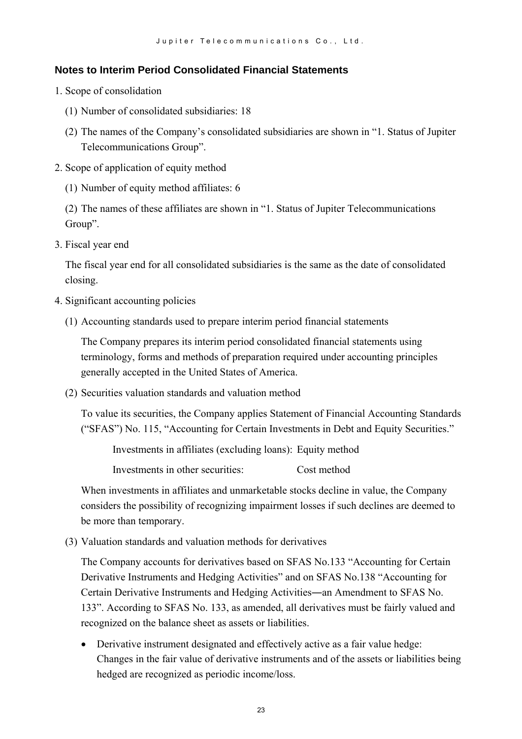#### **Notes to Interim Period Consolidated Financial Statements**

- 1. Scope of consolidation
	- (1) Number of consolidated subsidiaries: 18
	- (2) The names of the Company's consolidated subsidiaries are shown in "1. Status of Jupiter Telecommunications Group".
- 2. Scope of application of equity method
	- (1) Number of equity method affiliates: 6

(2) The names of these affiliates are shown in "1. Status of Jupiter Telecommunications Group".

3. Fiscal year end

The fiscal year end for all consolidated subsidiaries is the same as the date of consolidated closing.

- 4. Significant accounting policies
	- (1) Accounting standards used to prepare interim period financial statements

The Company prepares its interim period consolidated financial statements using terminology, forms and methods of preparation required under accounting principles generally accepted in the United States of America.

(2) Securities valuation standards and valuation method

To value its securities, the Company applies Statement of Financial Accounting Standards ("SFAS") No. 115, "Accounting for Certain Investments in Debt and Equity Securities."

Investments in affiliates (excluding loans): Equity method

Investments in other securities: Cost method

When investments in affiliates and unmarketable stocks decline in value, the Company considers the possibility of recognizing impairment losses if such declines are deemed to be more than temporary.

(3) Valuation standards and valuation methods for derivatives

The Company accounts for derivatives based on SFAS No.133 "Accounting for Certain Derivative Instruments and Hedging Activities" and on SFAS No.138 "Accounting for Certain Derivative Instruments and Hedging Activities―an Amendment to SFAS No. 133". According to SFAS No. 133, as amended, all derivatives must be fairly valued and recognized on the balance sheet as assets or liabilities.

• Derivative instrument designated and effectively active as a fair value hedge: Changes in the fair value of derivative instruments and of the assets or liabilities being hedged are recognized as periodic income/loss.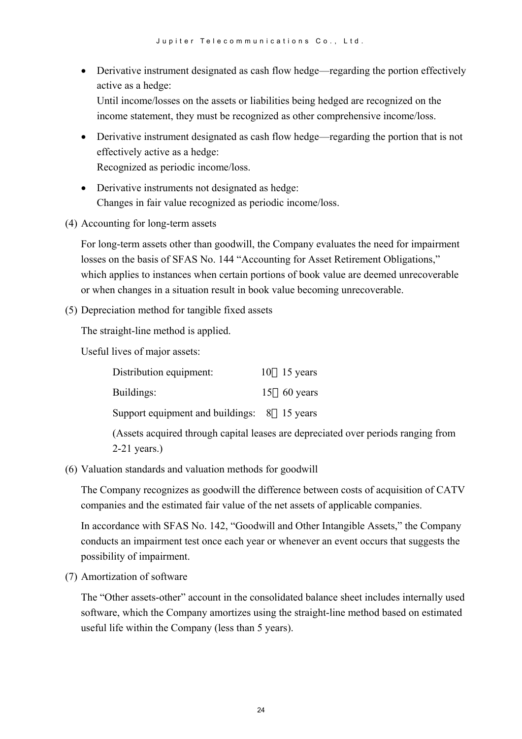- Derivative instrument designated as cash flow hedge—regarding the portion effectively active as a hedge: Until income/losses on the assets or liabilities being hedged are recognized on the income statement, they must be recognized as other comprehensive income/loss.
- Derivative instrument designated as cash flow hedge—regarding the portion that is not effectively active as a hedge: Recognized as periodic income/loss.
- Derivative instruments not designated as hedge: Changes in fair value recognized as periodic income/loss.
- (4) Accounting for long-term assets

For long-term assets other than goodwill, the Company evaluates the need for impairment losses on the basis of SFAS No. 144 "Accounting for Asset Retirement Obligations," which applies to instances when certain portions of book value are deemed unrecoverable or when changes in a situation result in book value becoming unrecoverable.

(5) Depreciation method for tangible fixed assets

The straight-line method is applied.

Useful lives of major assets:

| Distribution equipment:                     | $10 \quad 15 \text{ years}$ |
|---------------------------------------------|-----------------------------|
| Buildings:                                  | 15 $60$ years               |
| Support equipment and buildings: 8 15 years |                             |

(Assets acquired through capital leases are depreciated over periods ranging from 2-21 years.)

(6) Valuation standards and valuation methods for goodwill

The Company recognizes as goodwill the difference between costs of acquisition of CATV companies and the estimated fair value of the net assets of applicable companies.

In accordance with SFAS No. 142, "Goodwill and Other Intangible Assets," the Company conducts an impairment test once each year or whenever an event occurs that suggests the possibility of impairment.

(7) Amortization of software

The "Other assets-other" account in the consolidated balance sheet includes internally used software, which the Company amortizes using the straight-line method based on estimated useful life within the Company (less than 5 years).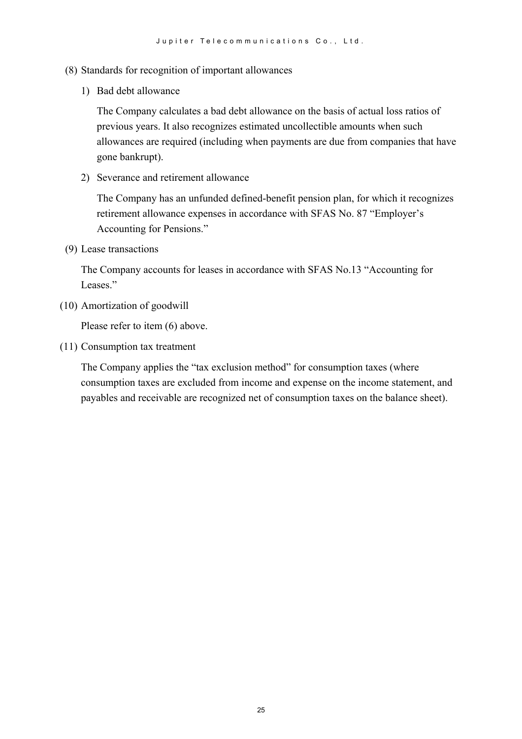- (8) Standards for recognition of important allowances
	- 1) Bad debt allowance

The Company calculates a bad debt allowance on the basis of actual loss ratios of previous years. It also recognizes estimated uncollectible amounts when such allowances are required (including when payments are due from companies that have gone bankrupt).

2) Severance and retirement allowance

The Company has an unfunded defined-benefit pension plan, for which it recognizes retirement allowance expenses in accordance with SFAS No. 87 "Employer's Accounting for Pensions."

(9) Lease transactions

The Company accounts for leases in accordance with SFAS No.13 "Accounting for Leases."

(10) Amortization of goodwill

Please refer to item (6) above.

(11) Consumption tax treatment

The Company applies the "tax exclusion method" for consumption taxes (where consumption taxes are excluded from income and expense on the income statement, and payables and receivable are recognized net of consumption taxes on the balance sheet).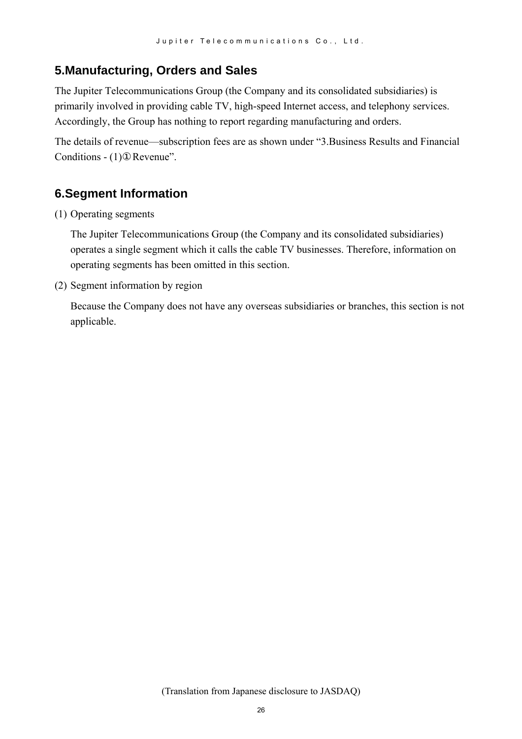## **5.Manufacturing, Orders and Sales**

The Jupiter Telecommunications Group (the Company and its consolidated subsidiaries) is primarily involved in providing cable TV, high-speed Internet access, and telephony services. Accordingly, the Group has nothing to report regarding manufacturing and orders.

The details of revenue—subscription fees are as shown under "3.Business Results and Financial Conditions - (1) Revenue".

# **6.Segment Information**

(1) Operating segments

The Jupiter Telecommunications Group (the Company and its consolidated subsidiaries) operates a single segment which it calls the cable TV businesses. Therefore, information on operating segments has been omitted in this section.

(2) Segment information by region

Because the Company does not have any overseas subsidiaries or branches, this section is not applicable.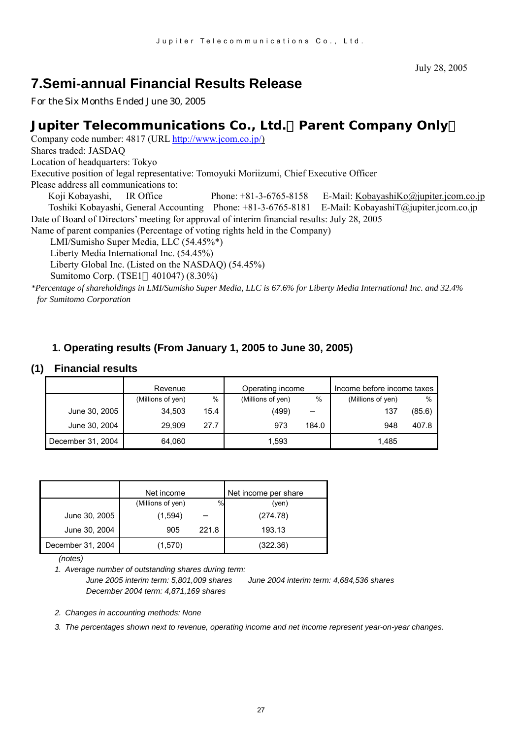# **7.Semi-annual Financial Results Release**

For the Six Months Ended June 30, 2005

## **Jupiter Telecommunications Co., Ltd.**(**Parent Company Only**)

Company code number: 4817 (URL [http://www.jcom.co.jp/](http://www.jcomxxxxxxxxx.co.jp/))

Shares traded: JASDAQ

Location of headquarters: Tokyo

Executive position of legal representative: Tomoyuki Moriizumi, Chief Executive Officer

Please address all communications to:

Koji Kobayashi, IR Office Phone: +81-3-6765-8158 E-Mail: [KobayashiKo@jupiter.jcom.co.jp](mailto:KobayashiKo@jupiter.jcom.co.jp) Toshiki Kobayashi, General Accounting Phone: +81-3-6765-8181 E-Mail: KobayashiT@jupiter.jcom.co.jp Date of Board of Directors' meeting for approval of interim financial results: July 28, 2005

Name of parent companies (Percentage of voting rights held in the Company)

LMI/Sumisho Super Media, LLC (54.45%\*)

Liberty Media International Inc. (54.45%)

Liberty Global Inc. (Listed on the NASDAQ) (54.45%)

Sumitomo Corp. (TSE1 401047) (8.30%)

*\*Percentage of shareholdings in LMI/Sumisho Super Media, LLC is 67.6% for Liberty Media International Inc. and 32.4% for Sumitomo Corporation*

#### **1. Operating results (From January 1, 2005 to June 30, 2005)**

#### **(1) Financial results**

|                   | Revenue           |      | Operating income  |       | Income before income taxes |        |
|-------------------|-------------------|------|-------------------|-------|----------------------------|--------|
|                   | (Millions of yen) | %    | (Millions of yen) | %     | (Millions of yen)          | $\%$   |
| June 30, 2005     | 34.503            | 15.4 | (499)             |       | 137                        | (85.6) |
| June 30, 2004     | 29.909            | 27.7 | 973               | 184.0 | 948                        | 407.8  |
| December 31, 2004 | 64.060            |      | 1.593             |       | 1.485                      |        |

|                   | Net income        |       | Net income per share |
|-------------------|-------------------|-------|----------------------|
|                   | (Millions of yen) | %     | (ven)                |
| June 30, 2005     | (1,594)           |       | (274.78)             |
| June 30, 2004     | 905               | 221.8 | 193.13               |
| December 31, 2004 | (1,570)           |       | (322.36)             |

 *(notes)* 

*1. Average number of outstanding shares during term:* 

*June 2005 interim term: 5,801,009 shares June 2004 interim term: 4,684,536 shares December 2004 term: 4,871,169 shares* 

*2. Changes in accounting methods: None*

*3. The percentages shown next to revenue, operating income and net income represent year-on-year changes.*